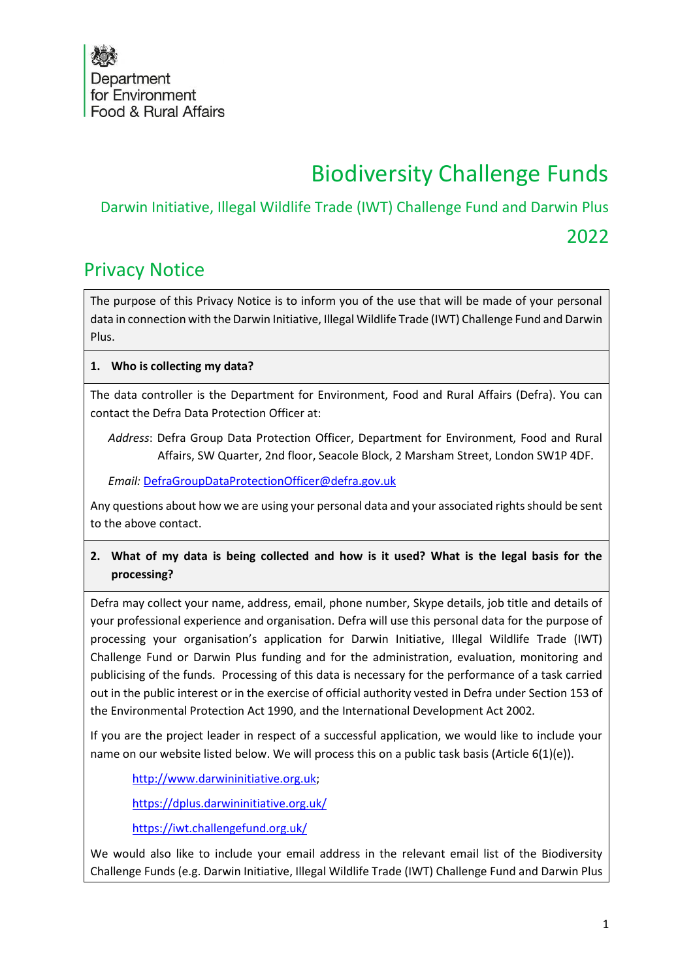# Biodiversity Challenge Funds

### Darwin Initiative, Illegal Wildlife Trade (IWT) Challenge Fund and Darwin Plus

## 2022

# Privacy Notice

The purpose of this Privacy Notice is to inform you of the use that will be made of your personal data in connection with the Darwin Initiative, Illegal Wildlife Trade (IWT) Challenge Fund and Darwin Plus.

#### **1. Who is collecting my data?**

The data controller is the Department for Environment, Food and Rural Affairs (Defra). You can contact the Defra Data Protection Officer at:

*Address*: Defra Group Data Protection Officer, Department for Environment, Food and Rural Affairs, SW Quarter, 2nd floor, Seacole Block, 2 Marsham Street, London SW1P 4DF.

*Email:* [DefraGroupDataProtectionOfficer@defra.gov.uk](mailto:DefraGroupDataProtectionOfficer@defra.gov.uk)

Any questions about how we are using your personal data and your associated rights should be sent to the above contact.

**2. What of my data is being collected and how is it used? What is the legal basis for the processing?**

Defra may collect your name, address, email, phone number, Skype details, job title and details of your professional experience and organisation. Defra will use this personal data for the purpose of processing your organisation's application for Darwin Initiative, Illegal Wildlife Trade (IWT) Challenge Fund or Darwin Plus funding and for the administration, evaluation, monitoring and publicising of the funds. Processing of this data is necessary for the performance of a task carried out in the public interest or in the exercise of official authority vested in Defra under Section 153 of the Environmental Protection Act 1990, and the International Development Act 2002*.*

If you are the project leader in respect of a successful application, we would like to include your name on our website listed below. We will process this on a public task basis (Article 6(1)(e)).

[http://www.darwininitiative.org.uk;](http://www.darwininitiative.org.uk/)

<https://dplus.darwininitiative.org.uk/>

<https://iwt.challengefund.org.uk/>

We would also like to include your email address in the relevant email list of the Biodiversity Challenge Funds (e.g. Darwin Initiative, Illegal Wildlife Trade (IWT) Challenge Fund and Darwin Plus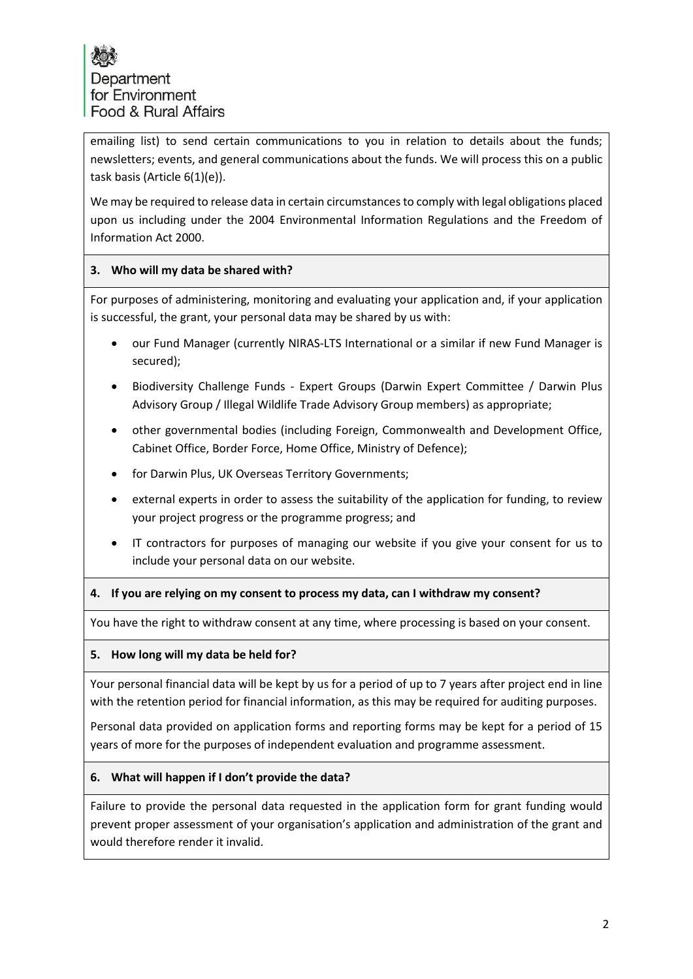emailing list) to send certain communications to you in relation to details about the funds; newsletters; events, and general communications about the funds. We will process this on a public task basis (Article 6(1)(e)).

We may be required to release data in certain circumstances to comply with legal obligations placed upon us including under the 2004 Environmental Information Regulations and the Freedom of Information Act 2000.

#### **3. Who will my data be shared with?**

For purposes of administering, monitoring and evaluating your application and, if your application is successful, the grant, your personal data may be shared by us with:

- our Fund Manager (currently NIRAS-LTS International or a similar if new Fund Manager is secured);
- Biodiversity Challenge Funds Expert Groups (Darwin Expert Committee / Darwin Plus Advisory Group / Illegal Wildlife Trade Advisory Group members) as appropriate;
- other governmental bodies (including Foreign, Commonwealth and Development Office, Cabinet Office, Border Force, Home Office, Ministry of Defence);
- for Darwin Plus, UK Overseas Territory Governments;
- external experts in order to assess the suitability of the application for funding, to review your project progress or the programme progress; and
- IT contractors for purposes of managing our website if you give your consent for us to include your personal data on our website.

#### **4. If you are relying on my consent to process my data, can I withdraw my consent?**

You have the right to withdraw consent at any time, where processing is based on your consent.

#### **5. How long will my data be held for?**

Your personal financial data will be kept by us for a period of up to 7 years after project end in line with the retention period for financial information, as this may be required for auditing purposes.

Personal data provided on application forms and reporting forms may be kept for a period of 15 years of more for the purposes of independent evaluation and programme assessment.

#### **6. What will happen if I don't provide the data?**

Failure to provide the personal data requested in the application form for grant funding would prevent proper assessment of your organisation's application and administration of the grant and would therefore render it invalid.